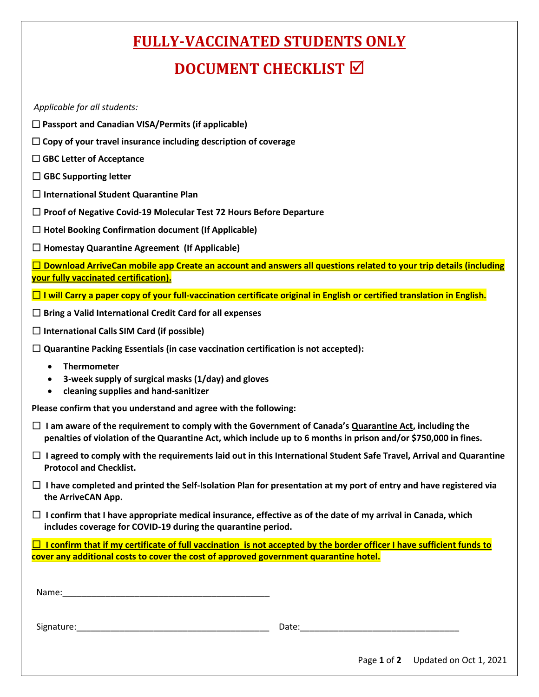## **FULLY-VACCINATED STUDENTS ONLY**

## **DOCUMENT CHECKLIST**

*Applicable for all students:* 

- **Passport and Canadian VISA/Permits (if applicable)**
- **Copy of your travel insurance including description of coverage**
- **GBC Letter of Acceptance**
- ☐ **GBC Supporting letter**
- ☐ **International Student Quarantine Plan**
- ☐ **Proof of Negative Covid-19 Molecular Test 72 Hours Before Departure**
- ☐ **Hotel Booking Confirmation document (If Applicable)**
- ☐ **Homestay Quarantine Agreement (If Applicable)**

☐ **Download ArriveCan mobile app Create an account and answers all questions related to your trip details (including your fully vaccinated certification).**

- ☐ **I will Carry a paper copy of your full-vaccination certificate original in English or certified translation in English.**
- ☐ **Bring a Valid International Credit Card for all expenses**
- ☐ **International Calls SIM Card (if possible)**
- ☐ **Quarantine Packing Essentials (in case vaccination certification is not accepted):** 
	- **Thermometer**
	- **3-week supply of surgical masks (1/day) and gloves**
	- **cleaning supplies and hand-sanitizer**

**Please confirm that you understand and agree with the following:** 

- ☐ **I am aware of the requirement to comply with the Government of Canada's Quarantine Act, including the penalties of violation of the Quarantine Act, which include up to 6 months in prison and/or \$750,000 in fines.**
- ☐ **I agreed to comply with the requirements laid out in this International Student Safe Travel, Arrival and Quarantine Protocol and Checklist.**
- ☐ **I have completed and printed the Self-Isolation Plan for presentation at my port of entry and have registered via the ArriveCAN App.**
- ☐ **I confirm that I have appropriate medical insurance, effective as of the date of my arrival in Canada, which includes coverage for COVID-19 during the quarantine period.**

☐ **I confirm that if my certificate of full vaccination is not accepted by the border officer I have sufficient funds to cover any additional costs to cover the cost of approved government quarantine hotel.**

| ۱Mama<br>ivallic. |  |
|-------------------|--|
|                   |  |

Signature:\_\_\_\_\_\_\_\_\_\_\_\_\_\_\_\_\_\_\_\_\_\_\_\_\_\_\_\_\_\_\_\_\_\_\_\_\_\_\_\_ Date:\_\_\_\_\_\_\_\_\_\_\_\_\_\_\_\_\_\_\_\_\_\_\_\_\_\_\_\_\_\_\_\_\_